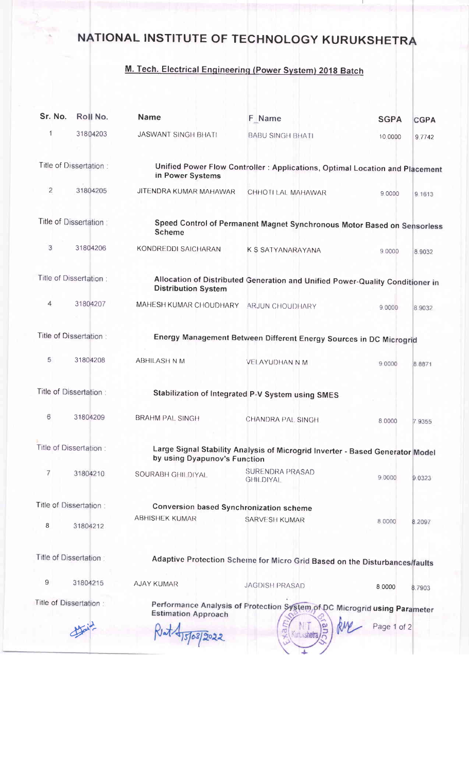## NATIONAL INSTITUTE OF TECHNOLOGY KURUKSHETRA

## M. Tech. Electrical Engineering (Power System) 2018 Batch

| Sr. No.                | Roll No.                | <b>Name</b>                                                                                                   | F Name                                                                        | <b>SGPA</b> | <b>CGPA</b> |  |  |
|------------------------|-------------------------|---------------------------------------------------------------------------------------------------------------|-------------------------------------------------------------------------------|-------------|-------------|--|--|
| 1                      | 31804203                | <b>JASWANT SINGH BHATI</b>                                                                                    | <b>BABU SINGH BHATI</b>                                                       | 10,0000     | 9.7742      |  |  |
|                        | Title of Dissertation:  | in Power Systems                                                                                              | Unified Power Flow Controller: Applications, Optimal Location and Placement   |             |             |  |  |
| $\overline{2}$         | 31804205                | JITENDRA KUMAR MAHAWAR                                                                                        | CHHOTI LAL MAHAWAR                                                            | 9 0000      | 9.1613      |  |  |
|                        | Title of Dissertation:  | <b>Scheme</b>                                                                                                 | Speed Control of Permanent Magnet Synchronous Motor Based on Sensorless       |             |             |  |  |
| 3                      | 31804206                | KONDREDDI SAICHARAN                                                                                           | K S SATYANARAYANA                                                             | 9 0000      | 8.9032      |  |  |
|                        | Title of Dissertation:  | <b>Distribution System</b>                                                                                    | Allocation of Distributed Generation and Unified Power-Quality Conditioner in |             |             |  |  |
| 4                      | 31804207                | MAHESH KUMAR CHOUDHARY ARJUN CHOUDHARY                                                                        |                                                                               | 9.0000      | 8.9032      |  |  |
|                        | Title of Dissertation:  |                                                                                                               | Energy Management Between Different Energy Sources in DC Microgrid            |             |             |  |  |
| 5                      | 31804208                | <b>ABHILASH N M</b>                                                                                           | <b>VELAYUDHAN N M</b>                                                         | 9.0000      | 8.8871      |  |  |
|                        | Title of Dissertation : |                                                                                                               | Stabilization of Integrated P-V System using SMES                             |             |             |  |  |
| 6                      | 31804209                | <b>BRAHM PAL SINGH</b>                                                                                        | CHANDRA PAL SINGH                                                             | 8 0000      | 7 9355      |  |  |
| Title of Dissertation: |                         | Large Signal Stability Analysis of Microgrid Inverter - Based Generator Model<br>by using Dyapunov's Function |                                                                               |             |             |  |  |
| 7                      | 31804210                | SOURABH GHILDIYAL                                                                                             | SURENDRA PRASAD<br><b>GHILDIYAL</b>                                           | 9.0000      | 9.0323      |  |  |
| Title of Dissertation: |                         | <b>Conversion based Synchronization scheme</b>                                                                |                                                                               |             |             |  |  |
| 8                      | 31804212                | <b>ABHISHEK KUMAR</b>                                                                                         | SARVESH KUMAR                                                                 | 8.0000      | 8.2097      |  |  |
|                        | Title of Dissertation:  |                                                                                                               | Adaptive Protection Scheme for Micro Grid Based on the Disturbances/faults    |             |             |  |  |
| 9                      | 31804215                | <b>AJAY KUMAR</b>                                                                                             | <b>JAGDISH PRASAD</b>                                                         | 8 0000      | 8.7903      |  |  |
|                        | Title of Dissertation:  | <b>Estimation Approach</b>                                                                                    | Performance Analysis of Protection System of DC Microgrid using Parameter     |             |             |  |  |
|                        |                         |                                                                                                               |                                                                               | Page 1 of 2 |             |  |  |